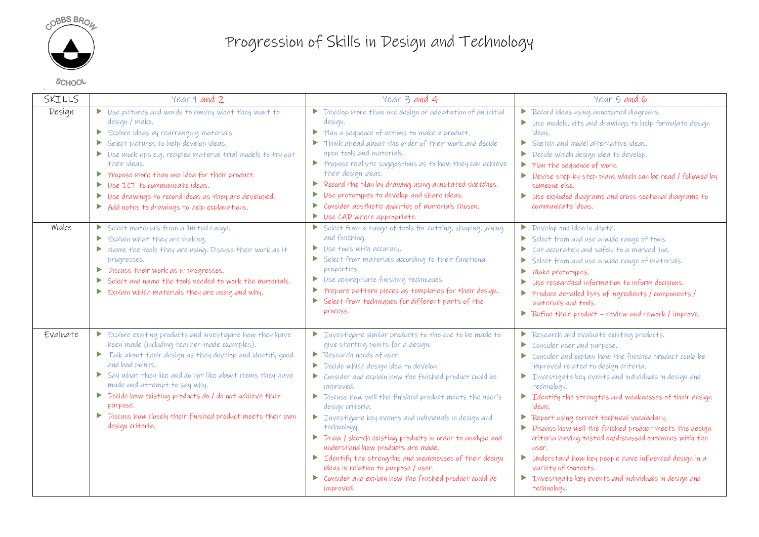

## Progression of Skills in Design and Technology

**SCHOOL** 

 $\mathbf{r}$ 

| SKILLS   | Year 1 and 2                                                                                                                                                                                                                                                                                                                                                                                                                                                            | Year 3 and 4                                                                                                                                                                                                                                                                                                                                                                                                                                                                                                                                                                                                                                                                                                                                                      | Year 5 and 6                                                                                                                                                                                                                                                                                                                                                                                                                                                                                                                                                                                                                                                                                                                                                |
|----------|-------------------------------------------------------------------------------------------------------------------------------------------------------------------------------------------------------------------------------------------------------------------------------------------------------------------------------------------------------------------------------------------------------------------------------------------------------------------------|-------------------------------------------------------------------------------------------------------------------------------------------------------------------------------------------------------------------------------------------------------------------------------------------------------------------------------------------------------------------------------------------------------------------------------------------------------------------------------------------------------------------------------------------------------------------------------------------------------------------------------------------------------------------------------------------------------------------------------------------------------------------|-------------------------------------------------------------------------------------------------------------------------------------------------------------------------------------------------------------------------------------------------------------------------------------------------------------------------------------------------------------------------------------------------------------------------------------------------------------------------------------------------------------------------------------------------------------------------------------------------------------------------------------------------------------------------------------------------------------------------------------------------------------|
| Design   | Use pictures and words to convey what they want to<br>design / make.<br>$\blacktriangleright$ Explore ideas by rearranging materials.<br>Select pictures to help develop ideas.<br>Use mock-ups e.g. recycled material trial models to try out<br>their ideas.<br>Propose more than one idea for their product.<br>Use ICT to communicate ideas.<br>Use drawings to record ideas as they are developed.<br>$\triangleright$ Add notes to drawings to help explanations. | Develop more than one design or adaptation of an initial<br>$\blacktriangleright$<br>design.<br>$\triangleright$ Plan a sequence of actions to make a product.<br>Think ahead about the order of their work and decide<br>$\blacktriangleright$<br>upon tools and materials.<br>$\triangleright$ Propose realistic suggestions as to how they can achieve<br>their design ideas.<br>Record the plan by drawing using annotated sketches.<br>Þ.<br>Use prototypes to develop and share ideas.<br>E<br>Consider aesthetic qualities of materials chosen.<br>▶<br>Use CAD where appropriate.<br>▶                                                                                                                                                                    | Record ideas using annotated diagrams.<br>$\triangleright$ Use models, kits and drawings to help formulate design<br>ideas.<br>$\triangleright$ Sketch and model alternative ideas.<br>Decide which design idea to develop.<br>▶<br>Plan the sequence of work.<br>$\blacktriangleright$<br>$\blacktriangleright$<br>Devise step by step plans which can be read / followed by<br>someone else.<br>$\triangleright$ Use exploded diagrams and cross-sectional diagrams to<br>communicate ideas.                                                                                                                                                                                                                                                              |
| Make     | $\triangleright$ Select materials from a limited range.<br>Explain what they are making.<br>Þ.<br>$\triangleright$ Name the tools they are using. Discuss their work as it<br>progresses.<br>Discuss their work as it progresses.<br>Select and name the tools needed to work the materials.<br>Þ.<br>$\triangleright$ Explain which materials they are using and why.                                                                                                  | Select from a range of tools for cutting, shaping, joining<br>and finishing.<br>$\triangleright$ Use tools with accuracy.<br>Select from materials according to their functional<br>▶<br>properties.<br>Use appropriate finishing techniques.<br>P.<br>Prepare pattern pieces as templates for their design.<br>Þ.<br>Select from techniques for different parts of the<br>▶<br>process.                                                                                                                                                                                                                                                                                                                                                                          | Develop one idea in depth.<br>Select from and use a wide range of tools.<br>$\triangleright$ cut accurately and safely to a marked line.<br>Select from and use a wide range of materials.<br>Make prototypes.<br>$\triangleright$ Use researched information to inform decisions.<br>▶ Produce detailed lists of ingredients / components /<br>materials and tools.<br>$\triangleright$ Refine their product – review and rework / improve.                                                                                                                                                                                                                                                                                                                |
| Evaluate | Explore existing products and investigate how they have<br>been made (including teacher-made examples).<br>$\triangleright$ Talk about their design as they develop and identify good<br>and bad points.<br>Say what they like and do not like about items they have<br>made and attempt to say why.<br>Decide how existing products do / do not achieve their<br>PULPOSE.<br>Discuss how closely their finished product meets their own<br>design criteria.            | Investigate similar products to the one to be made to<br>give starting points for a design.<br>Research needs of user.<br>Decide which design idea to develop.<br>$\blacktriangleright$<br>$\triangleright$ consider and explain how the finished product could be<br>improved.<br>Discuss how well the finished product meets the user's<br>design criteria.<br>$\triangleright$ Investigate key events and individuals in design and<br>technology.<br>▶ Draw / sketch existing products in order to analyse and<br>understand how products are made.<br>$\triangleright$ Identify the strengths and weaknesses of their design<br>ideas in relation to purpose / user.<br>$\triangleright$ Consider and explain how the finished product could be<br>improved. | Research and evaluate existing products.<br>Consider user and purpose.<br>▶<br>Consider and explain how the finished product could be<br>$\blacktriangleright$<br>improved related to design criteria.<br>$\blacktriangleright$ Investigate key events and individuals in design and<br>technology.<br>$\triangleright$ Identify the strengths and weaknesses of their design<br>ideas.<br>Report using correct technical vocabulary.<br>Discuss how well the finished product meets the design<br>criteria having tested on/discussed outcomes with the<br>user.<br>$\triangleright$ Understand how key people have influenced design in a<br>variety of contexts.<br>$\triangleright$ Investigate key events and individuals in design and<br>technology. |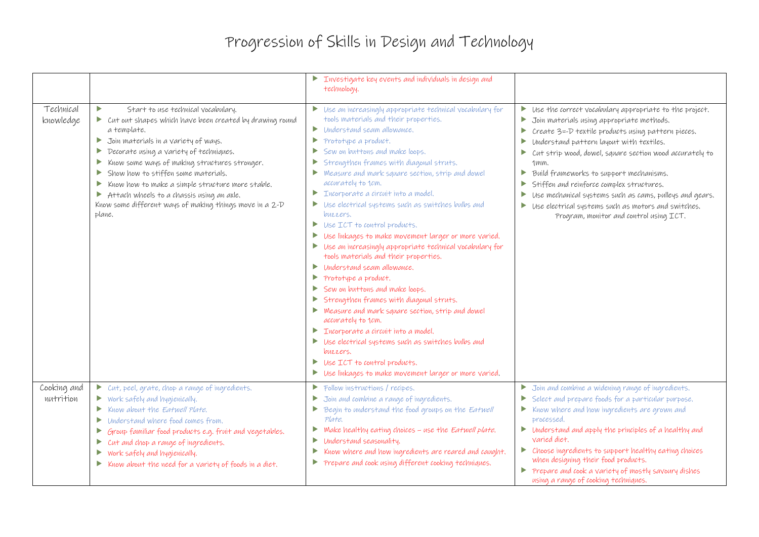## Progression of Skills in Design and Technology

|                          |                                                                                                                                                                                                                                                                                                                                                                                                                                                                                                                | $\triangleright$ Investigate key events and individuals in design and<br>technology.                                                                                                                                                                                                                                                                                                                                                                                                                                                                                                                                                                                                                                                                                                                                                                                                                                                                                                                                                                                                                                                                                                   |                                                                                                                                                                                                                                                                                                                                                                                                                                                                                                                                                                                                                               |
|--------------------------|----------------------------------------------------------------------------------------------------------------------------------------------------------------------------------------------------------------------------------------------------------------------------------------------------------------------------------------------------------------------------------------------------------------------------------------------------------------------------------------------------------------|----------------------------------------------------------------------------------------------------------------------------------------------------------------------------------------------------------------------------------------------------------------------------------------------------------------------------------------------------------------------------------------------------------------------------------------------------------------------------------------------------------------------------------------------------------------------------------------------------------------------------------------------------------------------------------------------------------------------------------------------------------------------------------------------------------------------------------------------------------------------------------------------------------------------------------------------------------------------------------------------------------------------------------------------------------------------------------------------------------------------------------------------------------------------------------------|-------------------------------------------------------------------------------------------------------------------------------------------------------------------------------------------------------------------------------------------------------------------------------------------------------------------------------------------------------------------------------------------------------------------------------------------------------------------------------------------------------------------------------------------------------------------------------------------------------------------------------|
| Technical<br>knowledge   | ь<br>Start to use technical vocabulary.<br>Cut out shapes which have been created by drawing round<br>a template,<br>Join materials in a variety of ways.<br>Þ.<br>Decorate using a variety of techniques.<br>▶<br>Know some ways of making structures stronger.<br>▶<br>Show how to stiffen some materials.<br>Þ.<br>Know how to make a simple structure more stable.<br>▶<br>$\triangleright$ Attach wheels to a chassis using an axle.<br>Know some different ways of making things move in a 2-D<br>plane. | $\triangleright$ Use an increasingly appropriate technical vocabulary for<br>tools materials and their properties.<br>Understand seam allowance,<br>Þ.<br>Prototype a product.<br>Þ.<br>Sew on buttons and make loops.<br>▶<br>Strengthen frames with diagonal struts.<br>▶<br>Measure and mark square section, strip and dowel<br>$\blacktriangleright$<br>accurately to 1cm.<br>Incorporate a circuit into a model.<br>Þ.<br>Use electrical systems such as switches bulbs and<br>▶<br>buzzers.<br>Use ICT to control products.<br>▶<br>Use linkages to make movement larger or more varied.<br>▶<br>Use an increasingly appropriate technical vocabulary for<br>▶<br>tools materials and their properties.<br>Understand seam allowance,<br>Þ.<br>Prototype a product.<br>Þ.<br>Sew on buttons and make loops.<br>Þ.<br>Strengthen frames with diagonal struts.<br>▶<br>Measure and mark square section, strip and dowel<br>accurately to 1cm.<br>Incorporate a circuit into a model.<br>Þ.<br>Use electrical systems such as switches bulbs and<br>buzzers.<br>Use ICT to control products.<br>$\blacktriangleright$<br>Use linkages to make movement larger or more varied.<br>Þ. | Use the correct vocabulary appropriate to the project.<br>Join materials using appropriate methods.<br>$\blacktriangleright$<br>Create 3=-D textile products using pattern pieces.<br>$\blacktriangleright$<br>Understand pattern layout with textiles.<br>▶<br>Cut strip wood, dowel, square section wood accurately to<br>1 <sub>mm</sub><br>Build frameworks to support mechanisms.<br>Þ.<br>Stiffen and reinforce complex structures.<br>Use mechanical systems such as cams, pulleys and gears.<br>Þ.<br>$\triangleright$ Use electrical systems such as motors and switches.<br>Program, monitor and control using ICT. |
| Cooking and<br>nutrition | Cut, peel, grate, chop a range of ingredients.<br>$\triangleright$ Work safely and hygienically.<br>Know about the Eatwell Plate.<br>Þ.<br>Understand where food comes from.<br>▶<br>Group familiar food products e.g. fruit and vegetables.<br>▶<br>Cut and chop a range of ingredients.<br>Þ.<br>Work safely and hygienically.<br>▶<br>Know about the need for a variety of foods in a diet.<br>Þ.                                                                                                           | $\triangleright$ Follow instructions / recipes.<br>Join and combine a range of ingredients.<br>▶<br>Begin to understand the food groups on the Eatwell<br>Þ.<br>Plate.<br>Make healthy eating choices - use the Eatwell plate.<br>Þ.<br>Understand seasonality.<br>▶<br>Know where and how ingredients are reared and caught.<br>Þ<br>Prepare and cook using different cooking techniques.<br>▶                                                                                                                                                                                                                                                                                                                                                                                                                                                                                                                                                                                                                                                                                                                                                                                        | $\triangleright$ Join and combine a widening range of ingredients.<br>Select and prepare foods for a particular purpose.<br>$\triangleright$ Know where and how ingredients are grown and<br>processed.<br>$\triangleright$ Understand and apply the principles of a healthy and<br>varied diet.<br>• Choose ingredients to support healthy eating choices<br>when designing their food products.<br>Prepare and cook a variety of mostly savoury dishes<br>using a range of cooking techniques.                                                                                                                              |